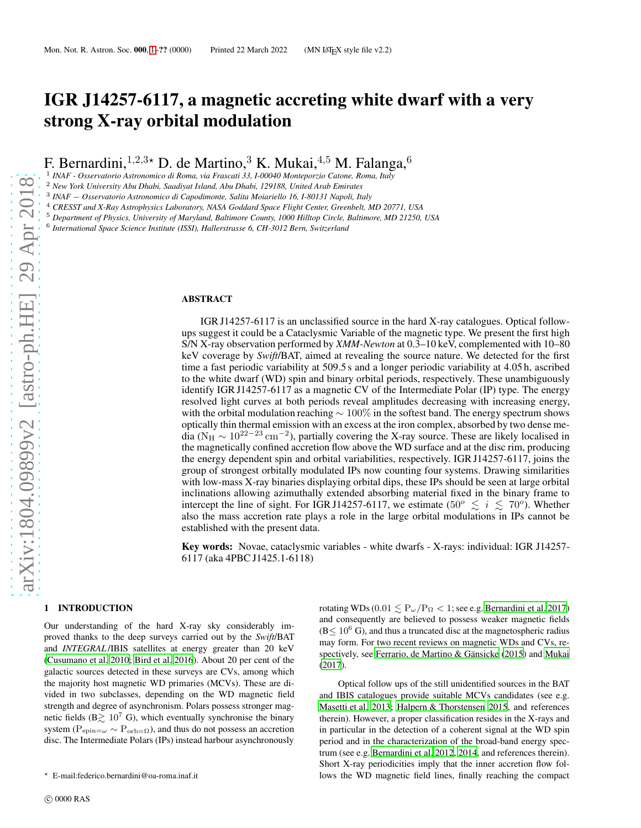# IGR J14257-6117, a magnetic accreting white dwarf with a very strong X-ray orbital modulation

F. Bernardini,<sup>1,2,3</sup>★ D. de Martino,<sup>3</sup> K. Mukai,<sup>4,5</sup> M. Falanga,<sup>6</sup><br><sup>1</sup> INAF - Osservatorio Astronomico di Roma, via Frascati 33, I-00040 Monteporzio Catone, Roma, Italy

<sup>2</sup> *New York University Abu Dhabi, Saadiyat Island, Abu Dhabi, 129188, United Arab Emirates*

3 *INAF* − *Osservatorio Astronomico di Capodimonte, Salita Moiariello 16, I-80131 Napoli, Italy*

<sup>4</sup> *CRESST and X-Ray Astrophysics Laboratory, NASA Goddard Space Flight Center, Greenbelt, MD 20771, USA*

<sup>5</sup> *Department of Physics, University of Maryland, Baltimore County, 1000 Hilltop Circle, Baltimore, MD 21250, USA*

6 *International Space Science Institute (ISSI), Hallerstrasse 6, CH-3012 Bern, Switzerland*

#### ABSTRACT

IGR J14257-6117 is an unclassified source in the hard X-ray catalogues. Optical followups suggest it could be a Cataclysmic Variable of the magnetic type. We present the first high S/N X-ray observation performed by *XMM-Newton* at 0.3–10 keV, complemented with 10–80 keV coverage by *Swift*/BAT, aimed at revealing the source nature. We detected for the first time a fast periodic variability at 509.5 s and a longer periodic variability at 4.05 h, ascribed to the white dwarf (WD) spin and binary orbital periods, respectively. These unambiguously identify IGR J14257-6117 as a magnetic CV of the Intermediate Polar (IP) type. The energy resolved light curves at both periods reveal amplitudes decreasing with increasing energy, with the orbital modulation reaching  $\sim 100\%$  in the softest band. The energy spectrum shows optically thin thermal emission with an excess at the iron complex, absorbed by two dense media ( $N_H \sim 10^{22-23}$  cm<sup>-2</sup>), partially covering the X-ray source. These are likely localised in the magnetically confined accretion flow above the WD surface and at the disc rim, producing the energy dependent spin and orbital variabilities, respectively. IGR J14257-6117, joins the group of strongest orbitally modulated IPs now counting four systems. Drawing similarities with low-mass X-ray binaries displaying orbital dips, these IPs should be seen at large orbital inclinations allowing azimuthally extended absorbing material fixed in the binary frame to intercept the line of sight. For IGR J14257-6117, we estimate (50 $^{\circ}$   $\lesssim i \lesssim 70^{\circ}$ ). Whether also the mass accretion rate plays a role in the large orbital modulations in IPs cannot be established with the present data.

Key words: Novae, cataclysmic variables - white dwarfs - X-rays: individual: IGR J14257- 6117 (aka 4PBC J1425.1-6118)

#### <span id="page-0-0"></span>1 INTRODUCTION

Our understanding of the hard X-ray sky considerably improved thanks to the deep surveys carried out by the *Swift*/BAT and *INTEGRAL* /IBIS satellites at energy greater than 20 keV [\(Cusumano et al. 2010](#page-7-0); [Bird et al. 2016](#page-7-1)). About 20 per cent of the galactic sources detected in these surveys are CVs, among which the majority host magnetic WD primaries (MCVs). These are divided in two subclasses, depending on the WD magnetic field strength and degree of asynchronism. Polars possess stronger magnetic fields ( $B \gtrsim 10^7$  G), which eventually synchronise the binary system ( $P_{spin=\omega} \sim P_{orb=\Omega}$ ), and thus do not possess an accretion disc. The Intermediate Polars (IPs) instead harbour asynchronously

rotating WDs (0.01  $\leq P_{\omega}/P_{\Omega} < 1$ ; see e.g. [Bernardini et al. 2017](#page-7-2)) and consequently are believed to possess weaker magnetic fields  $(B \leq 10^{6} \text{ G})$ , and thus a truncated disc at the magnetospheric radius may form. For two recent reviews on magnetic WDs and CVs, respectively, see [Ferrario, de Martino & Gänsicke \(2015](#page-7-3)) and [Mukai](#page-8-0) [\(2017](#page-8-0)).

Optical follow ups of the still unidentified sources in the BAT and IBIS catalogues provide suitable MCVs candidates (see e.g. [Masetti et al. 2013](#page-8-1); [Halpern & Thorstensen 2015](#page-8-2), and references therein). However, a proper classification resides in the X-rays and in particular in the detection of a coherent signal at the WD spin period and in the characterization of the broad-band energy spectrum (see e.g. [Bernardini et al. 2012](#page-7-4), [2014,](#page-7-5) and references therein). Short X-ray periodicities imply that the inner accretion flow follows the WD magnetic field lines, finally reaching the compact

<sup>⋆</sup> E-mail:federico.bernardini@oa-roma.inaf.it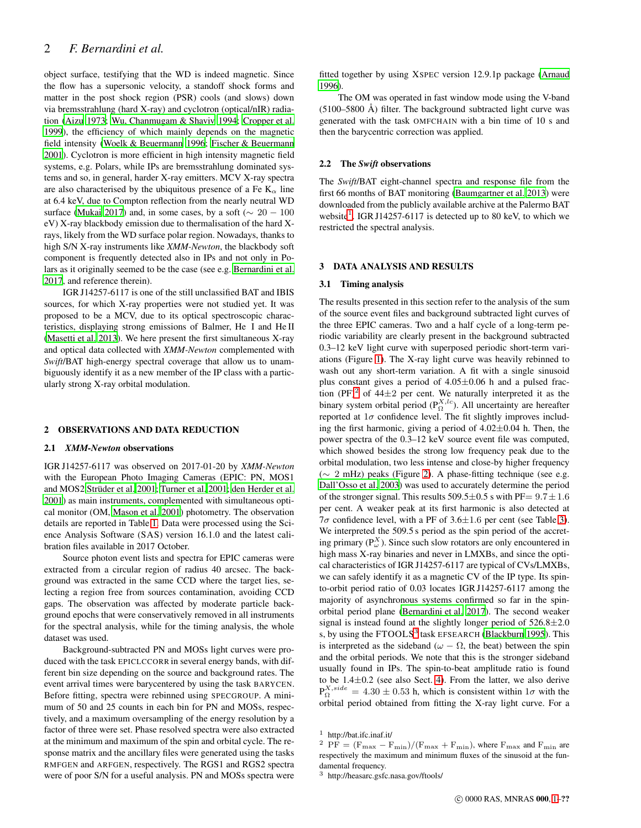# 2 *F. Bernardini et al.*

object surface, testifying that the WD is indeed magnetic. Since the flow has a supersonic velocity, a standoff shock forms and matter in the post shock region (PSR) cools (and slows) down via bremsstrahlung (hard X-ray) and cyclotron (optical/nIR) radiation [\(Aizu 1973;](#page-7-6) [Wu, Chanmugam & Shaviv 1994](#page-8-3); [Cropper et al.](#page-7-7) [1999\)](#page-7-7), the efficiency of which mainly depends on the magnetic field intensity [\(Woelk & Beuermann 1996](#page-8-4); [Fischer & Beuermann](#page-8-5) [2001\)](#page-8-5). Cyclotron is more efficient in high intensity magnetic field systems, e.g. Polars, while IPs are bremsstrahlung dominated systems and so, in general, harder X-ray emitters. MCV X-ray spectra are also characterised by the ubiquitous presence of a Fe  $K_{\alpha}$  line at 6.4 keV, due to Compton reflection from the nearly neutral WD surface [\(Mukai 2017\)](#page-8-0) and, in some cases, by a soft ( $\sim 20 - 100$ eV) X-ray blackbody emission due to thermalisation of the hard Xrays, likely from the WD surface polar region. Nowadays, thanks to high S/N X-ray instruments like *XMM-Newton*, the blackbody soft component is frequently detected also in IPs and not only in Polars as it originally seemed to be the case (see e.g. [Bernardini et al.](#page-7-2) [2017,](#page-7-2) and reference therein).

IGR J14257-6117 is one of the still unclassified BAT and IBIS sources, for which X-ray properties were not studied yet. It was proposed to be a MCV, due to its optical spectroscopic characteristics, displaying strong emissions of Balmer, He I and He II [\(Masetti et al. 2013](#page-8-1)). We here present the first simultaneous X-ray and optical data collected with *XMM-Newton* complemented with *Swift*/BAT high-energy spectral coverage that allow us to unambiguously identify it as a new member of the IP class with a particularly strong X-ray orbital modulation.

#### 2 OBSERVATIONS AND DATA REDUCTION

#### 2.1 *XMM-Newton* observations

IGR J14257-6117 was observed on 2017-01-20 by *XMM-Newton* with the European Photo Imaging Cameras (EPIC: PN, MOS1 and MOS2 [Strüder et al. 2001;](#page-8-6) [Turner et al. 2001;](#page-8-7) [den Herder et](#page-7-8) al. [2001\)](#page-7-8) as main instruments, complemented with simultaneous optical monitor (OM, [Mason et al. 2001](#page-8-8)) photometry. The observation details are reported in Table [1.](#page-2-0) Data were processed using the Science Analysis Software (SAS) version 16.1.0 and the latest calibration files available in 2017 October.

Source photon event lists and spectra for EPIC cameras were extracted from a circular region of radius 40 arcsec. The background was extracted in the same CCD where the target lies, selecting a region free from sources contamination, avoiding CCD gaps. The observation was affected by moderate particle background epochs that were conservatively removed in all instruments for the spectral analysis, while for the timing analysis, the whole dataset was used.

Background-subtracted PN and MOSs light curves were produced with the task EPICLCCORR in several energy bands, with different bin size depending on the source and background rates. The event arrival times were barycentered by using the task BARYCEN. Before fitting, spectra were rebinned using SPECGROUP. A minimum of 50 and 25 counts in each bin for PN and MOSs, respectively, and a maximum oversampling of the energy resolution by a factor of three were set. Phase resolved spectra were also extracted at the minimum and maximum of the spin and orbital cycle. The response matrix and the ancillary files were generated using the tasks RMFGEN and ARFGEN, respectively. The RGS1 and RGS2 spectra were of poor S/N for a useful analysis. PN and MOSs spectra were fitted together by using XSPEC version 12.9.1p package [\(Arnaud](#page-7-9) [1996](#page-7-9)).

The OM was operated in fast window mode using the V-band (5100–5800 Å) filter. The background subtracted light curve was generated with the task OMFCHAIN with a bin time of 10 s and then the barycentric correction was applied.

#### 2.2 The *Swift* observations

The *Swift*/BAT eight-channel spectra and response file from the first 66 months of BAT monitoring [\(Baumgartner et al. 2013](#page-7-10)) were downloaded from the publicly available archive at the Palermo BAT website<sup>[1](#page-1-0)</sup>. IGR J14257-6117 is detected up to 80 keV, to which we restricted the spectral analysis.

#### 3 DATA ANALYSIS AND RESULTS

#### 3.1 Timing analysis

The results presented in this section refer to the analysis of the sum of the source event files and background subtracted light curves of the three EPIC cameras. Two and a half cycle of a long-term periodic variability are clearly present in the background subtracted 0.3–12 keV light curve with superposed periodic short-term variations (Figure [1\)](#page-3-0). The X-ray light curve was heavily rebinned to wash out any short-term variation. A fit with a single sinusoid plus constant gives a period of  $4.05\pm0.06$  h and a pulsed frac-tion (PF)<sup>[2](#page-1-1)</sup> of 44 $\pm$ 2 per cent. We naturally interpreted it as the binary system orbital period ( $P_{\Omega}^{X,lc}$ ). All uncertainty are hereafter reported at  $1\sigma$  confidence level. The fit slightly improves including the first harmonic, giving a period of  $4.02 \pm 0.04$  h. Then, the power spectra of the 0.3–12 keV source event file was computed, which showed besides the strong low frequency peak due to the orbital modulation, two less intense and close-by higher frequency (∼ 2 mHz) peaks (Figure [2\)](#page-3-1). A phase-fitting technique (see e.g. [Dall'Osso et al. 2003](#page-7-11)) was used to accurately determine the period of the stronger signal. This results  $509.5 \pm 0.5$  s with PF=  $9.7 \pm 1.6$ per cent. A weaker peak at its first harmonic is also detected at  $7\sigma$  confidence level, with a PF of 3.6 $\pm$ 1.6 per cent (see Table [3\)](#page-2-1). We interpreted the 509.5 s period as the spin period of the accreting primary ( $P_{\omega}^{X}$ ). Since such slow rotators are only encountered in high mass X-ray binaries and never in LMXBs, and since the optical characteristics of IGR J14257-6117 are typical of CVs/LMXBs, we can safely identify it as a magnetic CV of the IP type. Its spinto-orbit period ratio of 0.03 locates IGR J14257-6117 among the majority of asynchronous systems confirmed so far in the spinorbital period plane [\(Bernardini et al. 2017\)](#page-7-2). The second weaker signal is instead found at the slightly longer period of  $526.8 \pm 2.0$ s, by using the FTOOLS<sup>[3](#page-1-2)</sup> task EFSEARCH [\(Blackburn 1995\)](#page-7-12). This is interpreted as the sideband ( $\omega - \Omega$ , the beat) between the spin and the orbital periods. We note that this is the stronger sideband usually found in IPs. The spin-to-beat amplitude ratio is found to be 1.4±0.2 (see also Sect. [4\)](#page-4-0). From the latter, we also derive  $P_{\Omega}^{X,side} = 4.30 \pm 0.53$  h, which is consistent within  $1\sigma$  with the orbital period obtained from fitting the X-ray light curve. For a

<sup>1</sup> http://bat.ifc.inaf.it/

<span id="page-1-1"></span><span id="page-1-0"></span><sup>&</sup>lt;sup>2</sup> PF =  $(F_{\text{max}} - F_{\text{min}})/(F_{\text{max}} + F_{\text{min}})$ , where  $F_{\text{max}}$  and  $F_{\text{min}}$  are respectively the maximum and minimum fluxes of the sinusoid at the fundamental frequency.

<span id="page-1-2"></span><sup>3</sup> http://heasarc.gsfc.nasa.gov/ftools/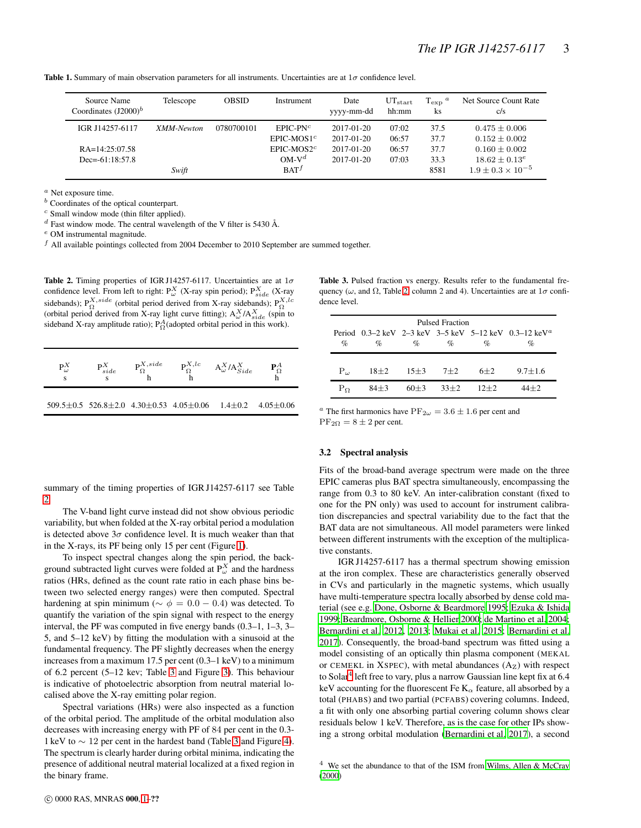**Table 1.** Summary of main observation parameters for all instruments. Uncertainties are at  $1\sigma$  confidence level.

<span id="page-2-0"></span>

| Source Name<br>Coordinates $(J2000)^b$                  | Telescope  | <b>OBSID</b> | Instrument                                            | Date<br>yyyy-mm-dd                                         | $UT_{\text{start}}$<br>hh:mm     | $T_{\rm exp}$ <sup>a</sup><br>ks | Net Source Count Rate<br>c/s                                                    |
|---------------------------------------------------------|------------|--------------|-------------------------------------------------------|------------------------------------------------------------|----------------------------------|----------------------------------|---------------------------------------------------------------------------------|
| IGR J14257-6117<br>$RA=14:25:07.58$<br>$Dec=61:18:57.8$ | XMM-Newton | 0780700101   | $EPIC-PNc$<br>$EPIC-MOS1c$<br>$EPIC-MOS2c$<br>$OM-Vd$ | $2017 - 01 - 20$<br>2017-01-20<br>2017-01-20<br>2017-01-20 | 07:02<br>06:57<br>06:57<br>07:03 | 37.5<br>37.7<br>37.7<br>33.3     | $0.475 \pm 0.006$<br>$0.152 + 0.002$<br>$0.160 \pm 0.002$<br>$18.62 \pm 0.13^e$ |
|                                                         | Swift      |              | BAT <sup>f</sup>                                      |                                                            |                                  | 8581                             | $1.9 \pm 0.3 \times 10^{-5}$                                                    |

<sup>a</sup> Net exposure time.

<sup>b</sup> Coordinates of the optical counterpart.

<sup>c</sup> Small window mode (thin filter applied).

 $d$  Fast window mode. The central wavelength of the V filter is 5430 Å.

<sup>e</sup> OM instrumental magnitude.

 $<sup>f</sup>$  All available pointings collected from 2004 December to 2010 September are summed together.</sup>

<span id="page-2-2"></span>Table 2. Timing properties of IGR J14257-6117. Uncertainties are at  $1\sigma$ confidence level. From left to right:  $P_{\omega}^{X}$  (X-ray spin period);  $P_{side}^{X}$  (X-ray sidebands);  $P_{\Omega}^{X,side}$  (orbital period derived from X-ray sidebands);  $P_{\Omega}^{X,lc}$ (orbital period derived from X-ray light curve fitting);  $A^X_\omega / A^X_{side}$  (spin to sideband X-ray amplitude ratio);  $P_{\Omega}^{A}$ (adopted orbital period in this work).

| $P^X_\omega$<br>s | $P^X_{side}$<br>s | $P_{\Omega}^{X,side}$ | $P_{\Omega}^{X,lc}$                                                           | $A_{\omega}^X/A_{Side}^X$ | ${\bf P}^{A}_{\Omega}$ |
|-------------------|-------------------|-----------------------|-------------------------------------------------------------------------------|---------------------------|------------------------|
|                   |                   |                       | $509.5 \pm 0.5$ $526.8 \pm 2.0$ $4.30 \pm 0.53$ $4.05 \pm 0.06$ $1.4 \pm 0.2$ |                           | $4.05 + 0.06$          |

<span id="page-2-1"></span>Table 3. Pulsed fraction vs energy. Results refer to the fundamental frequency ( $\omega$ , and  $\Omega$ , Table [2,](#page-2-2) column 2 and 4). Uncertainties are at  $1\sigma$  confidence level.

| Pulsed Fraction |          |            |        |          |                                                                   |  |  |  |  |
|-----------------|----------|------------|--------|----------|-------------------------------------------------------------------|--|--|--|--|
|                 |          |            |        |          | Period 0.3–2 keV 2–3 keV 3–5 keV 5–12 keV 0.3–12 keV <sup>a</sup> |  |  |  |  |
| $\%$            | $\%$     | $\%$       | $\%$   | $\%$     | $\%$                                                              |  |  |  |  |
|                 |          |            |        |          |                                                                   |  |  |  |  |
| $P_{\omega}$    | $18\pm2$ | $15 \pm 3$ | $7+2$  | $6 + 2$  | $9.7 + 1.6$                                                       |  |  |  |  |
| $P_{\Omega}$    | $84 + 3$ | $60+3$     | $33+2$ | $12 + 2$ | $4 + 2$                                                           |  |  |  |  |

 $^a$  The first harmonics have  $\mathrm{PF}_{2\omega} = 3.6 \pm 1.6$  per cent and  $PF_{2\Omega} = 8 \pm 2$  per cent.

# 3.2 Spectral analysis

Fits of the broad-band average spectrum were made on the three EPIC cameras plus BAT spectra simultaneously, encompassing the range from 0.3 to 80 keV. An inter-calibration constant (fixed to one for the PN only) was used to account for instrument calibration discrepancies and spectral variability due to the fact that the BAT data are not simultaneous. All model parameters were linked between different instruments with the exception of the multiplicative constants.

IGR J14257-6117 has a thermal spectrum showing emission at the iron complex. These are characteristics generally observed in CVs and particularly in the magnetic systems, which usually have multi-temperature spectra locally absorbed by dense cold material (see e.g. [Done, Osborne & Beardmore 1995](#page-7-13); [Ezuka & Ishida](#page-7-14) [1999](#page-7-14); [Beardmore, Osborne & Hellier 2000](#page-7-15); [de Martino et al. 2004;](#page-7-16) [Bernardini et al. 2012,](#page-7-4) [2013;](#page-7-17) [Mukai et al. 2015;](#page-8-9) [Bernardini et al.](#page-7-2) [2017](#page-7-2)). Consequently, the broad-band spectrum was fitted using a model consisting of an optically thin plasma component (MEKAL or CEMEKL in XSPEC), with metal abundances  $(A<sub>Z</sub>)$  with respect to Solar<sup>[4](#page-2-3)</sup> left free to vary, plus a narrow Gaussian line kept fix at 6.4 keV accounting for the fluorescent Fe  $K_{\alpha}$  feature, all absorbed by a total (PHABS) and two partial (PCFABS) covering columns. Indeed, a fit with only one absorbing partial covering column shows clear residuals below 1 keV. Therefore, as is the case for other IPs showing a strong orbital modulation [\(Bernardini et al. 2017](#page-7-2)), a second

summary of the timing properties of IGR J14257-6117 see Table [2.](#page-2-2)

The V-band light curve instead did not show obvious periodic variability, but when folded at the X-ray orbital period a modulation is detected above  $3\sigma$  confidence level. It is much weaker than that in the X-rays, its PF being only 15 per cent (Figure [1\)](#page-3-0).

To inspect spectral changes along the spin period, the background subtracted light curves were folded at  $P_{\omega}^{X}$  and the hardness ratios (HRs, defined as the count rate ratio in each phase bins between two selected energy ranges) were then computed. Spectral hardening at spin minimum ( $\sim \phi = 0.0 - 0.4$ ) was detected. To quantify the variation of the spin signal with respect to the energy interval, the PF was computed in five energy bands (0.3–1, 1–3, 3– 5, and 5–12 keV) by fitting the modulation with a sinusoid at the fundamental frequency. The PF slightly decreases when the energy increases from a maximum 17.5 per cent (0.3–1 keV) to a minimum of 6.2 percent (5–12 kev; Table [3](#page-2-1) and Figure [3\)](#page-4-1). This behaviour is indicative of photoelectric absorption from neutral material localised above the X-ray emitting polar region.

Spectral variations (HRs) were also inspected as a function of the orbital period. The amplitude of the orbital modulation also decreases with increasing energy with PF of 84 per cent in the 0.3- 1 keV to ∼ 12 per cent in the hardest band (Table [3](#page-2-1) and Figure [4\)](#page-4-2). The spectrum is clearly harder during orbital minima, indicating the presence of additional neutral material localized at a fixed region in the binary frame.

<span id="page-2-3"></span><sup>4</sup> We set the abundance to that of the ISM from [Wilms, Allen & McCray](#page-8-10) [\(2000\)](#page-8-10)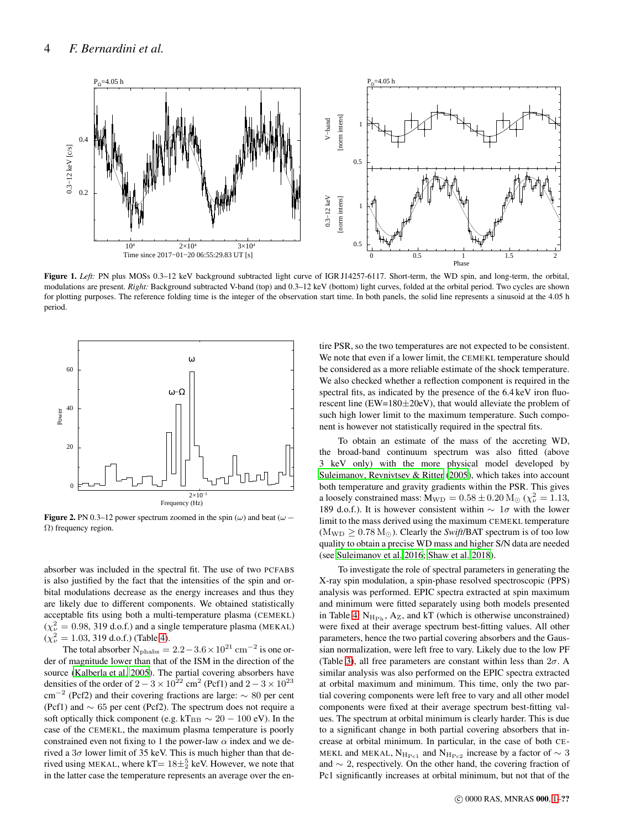

<span id="page-3-0"></span>Figure 1. Left: PN plus MOSs 0.3-12 keV background subtracted light curve of IGR J14257-6117. Short-term, the WD spin, and long-term, the orbital, modulations are present. *Right:* Background subtracted V-band (top) and 0.3–12 keV (bottom) light curves, folded at the orbital period. Two cycles are shown for plotting purposes. The reference folding time is the integer of the observation start time. In both panels, the solid line represents a sinusoid at the 4.05 h period.



<span id="page-3-1"></span>Figure 2. PN 0.3–12 power spectrum zoomed in the spin  $(\omega)$  and beat  $(\omega -$ Ω) frequency region.

absorber was included in the spectral fit. The use of two PCFABS is also justified by the fact that the intensities of the spin and orbital modulations decrease as the energy increases and thus they are likely due to different components. We obtained statistically acceptable fits using both a multi-temperature plasma (CEMEKL)  $(\chi^2_{\nu} = 0.98, 319 \text{ d.o.f.})$  and a single temperature plasma (MEKAL)  $(\chi^2_{\nu} = 1.03, 319 \text{ d.o.f.})$  (Table [4\)](#page-5-0).

The total absorber  $N_{\text{phabs}} = 2.2 - 3.6 \times 10^{21} \text{ cm}^{-2}$  is one order of magnitude lower than that of the ISM in the direction of the source [\(Kalberla et al. 2005\)](#page-8-11). The partial covering absorbers have densities of the order of  $2 - 3 \times 10^{22}$  cm<sup>2</sup> (Pcf1) and  $2 - 3 \times 10^{23}$  $\text{cm}^{-2}$  (Pcf2) and their covering fractions are large:  $\sim 80$  per cent (Pcf1) and ∼ 65 per cent (Pcf2). The spectrum does not require a soft optically thick component (e.g. kT<sub>BB</sub>  $\sim 20 - 100$  eV). In the case of the CEMEKL, the maximum plasma temperature is poorly constrained even not fixing to 1 the power-law  $\alpha$  index and we derived a  $3\sigma$  lower limit of 35 keV. This is much higher than that derived using MEKAL, where kT=  $18\pm\frac{5}{2}$  keV. However, we note that in the latter case the temperature represents an average over the entire PSR, so the two temperatures are not expected to be consistent. We note that even if a lower limit, the CEMEKL temperature should be considered as a more reliable estimate of the shock temperature. We also checked whether a reflection component is required in the spectral fits, as indicated by the presence of the 6.4 keV iron fluorescent line (EW=180±20eV), that would alleviate the problem of such high lower limit to the maximum temperature. Such component is however not statistically required in the spectral fits.

To obtain an estimate of the mass of the accreting WD, the broad-band continuum spectrum was also fitted (above 3 keV only) with the more physical model developed by [Suleimanov, Revnivtsev & Ritter \(2005](#page-8-12)), which takes into account both temperature and gravity gradients within the PSR. This gives a loosely constrained mass:  $M_{WD} = 0.58 \pm 0.20 M_{\odot}$  ( $\chi^2_{\nu} = 1.13$ , 189 d.o.f.). It is however consistent within  $\sim 1\sigma$  with the lower limit to the mass derived using the maximum CEMEKL temperature  $(M_{WD} > 0.78 M_{\odot})$ . Clearly the *Swift*/BAT spectrum is of too low quality to obtain a precise WD mass and higher S/N data are needed (see [Suleimanov et al. 2016](#page-8-13); [Shaw et al. 2018\)](#page-8-14).

To investigate the role of spectral parameters in generating the X-ray spin modulation, a spin-phase resolved spectroscopic (PPS) analysis was performed. EPIC spectra extracted at spin maximum and minimum were fitted separately using both models presented in Table [4.](#page-5-0)  $N_{\rm H_{\rm Ph}}$ , Az, and kT (which is otherwise unconstrained) were fixed at their average spectrum best-fitting values. All other parameters, hence the two partial covering absorbers and the Gaussian normalization, were left free to vary. Likely due to the low PF (Table [3\)](#page-2-1), all free parameters are constant within less than  $2\sigma$ . A similar analysis was also performed on the EPIC spectra extracted at orbital maximum and minimum. This time, only the two partial covering components were left free to vary and all other model components were fixed at their average spectrum best-fitting values. The spectrum at orbital minimum is clearly harder. This is due to a significant change in both partial covering absorbers that increase at orbital minimum. In particular, in the case of both CE-MEKL and MEKAL,  $N_{\text{H}_{\text{Pc1}}}$  and  $N_{\text{H}_{\text{Pc2}}}$  increase by a factor of  $\sim 3$ and ∼ 2, respectively. On the other hand, the covering fraction of Pc1 significantly increases at orbital minimum, but not that of the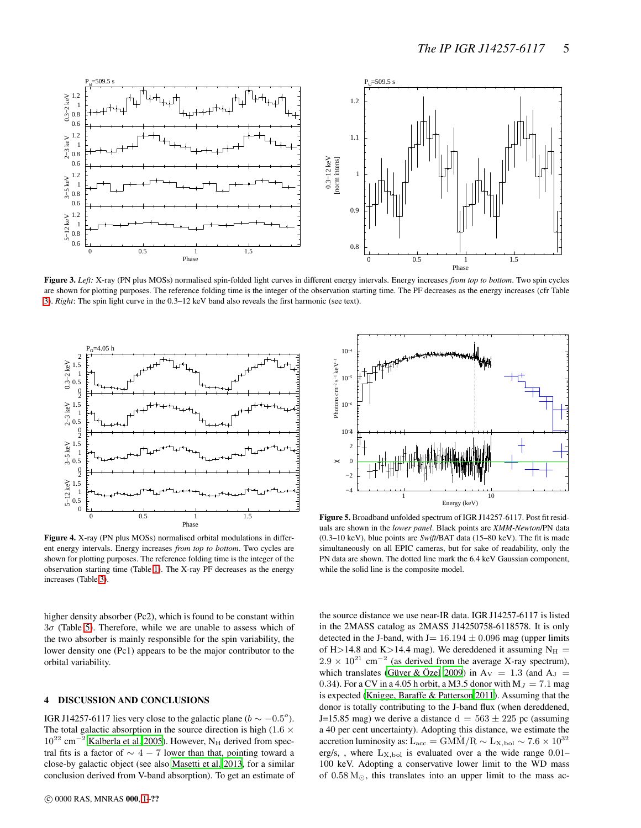

<span id="page-4-1"></span>Figure 3. *Left:* X-ray (PN plus MOSs) normalised spin-folded light curves in different energy intervals. Energy increases *from top to bottom*. Two spin cycles are shown for plotting purposes. The reference folding time is the integer of the observation starting time. The PF decreases as the energy increases (cfr Table [3\)](#page-2-1). *Right*: The spin light curve in the 0.3–12 keV band also reveals the first harmonic (see text).



<span id="page-4-2"></span>Figure 4. X-ray (PN plus MOSs) normalised orbital modulations in different energy intervals. Energy increases *from top to bottom*. Two cycles are shown for plotting purposes. The reference folding time is the integer of the observation starting time (Table [1\)](#page-2-0). The X-ray PF decreases as the energy increases (Table [3\)](#page-2-1).

higher density absorber (Pc2), which is found to be constant within  $3\sigma$  (Table [5\)](#page-5-1). Therefore, while we are unable to assess which of the two absorber is mainly responsible for the spin variability, the lower density one (Pc1) appears to be the major contributor to the orbital variability.

# <span id="page-4-0"></span>4 DISCUSSION AND CONCLUSIONS

IGR J14257-6117 lies very close to the galactic plane ( $b \sim -0.5^{\circ}$ ). The total galactic absorption in the source direction is high (1.6  $\times$  $10^{22}$  cm<sup>-2</sup> [Kalberla et al. 2005](#page-8-11)). However, N<sub>H</sub> derived from spectral fits is a factor of  $\sim$  4 − 7 lower than that, pointing toward a close-by galactic object (see also [Masetti et al. 2013](#page-8-1), for a similar conclusion derived from V-band absorption). To get an estimate of



Figure 5. Broadband unfolded spectrum of IGR J14257-6117. Post fit residuals are shown in the *lower panel*. Black points are *XMM-Newton*/PN data (0.3–10 keV), blue points are *Swift*/BAT data (15–80 keV). The fit is made simultaneously on all EPIC cameras, but for sake of readability, only the PN data are shown. The dotted line mark the 6.4 keV Gaussian component, while the solid line is the composite model.

the source distance we use near-IR data. IGR J14257-6117 is listed in the 2MASS catalog as 2MASS J14250758-6118578. It is only detected in the J-band, with J=  $16.194 \pm 0.096$  mag (upper limits of H > 14.8 and K > 14.4 mag). We dereddened it assuming  $N_H$  =  $2.9 \times 10^{21}$  cm<sup>-2</sup> (as derived from the average X-ray spectrum), which translates [\(Güver & Özel 2009](#page-8-15)) in A<sub>V</sub> = 1.3 (and A<sub>J</sub> = 0.34). For a CV in a 4.05 h orbit, a M3.5 donor with  $M_J = 7.1$  mag is expected [\(Knigge, Baraffe & Patterson 2011](#page-8-16)). Assuming that the donor is totally contributing to the J-band flux (when dereddened, J=15.85 mag) we derive a distance  $d = 563 \pm 225$  pc (assuming a 40 per cent uncertainty). Adopting this distance, we estimate the accretion luminosity as: L<sub>acc</sub> = GMM<sup> $/$ R</sup> ∼ L<sub>X,bol</sub> ∼ 7.6 × 10<sup>32</sup> erg/s, , where  $L_{\text{X,bol}}$  is evaluated over a the wide range 0.01– 100 keV. Adopting a conservative lower limit to the WD mass of 0.58 M⊙, this translates into an upper limit to the mass ac-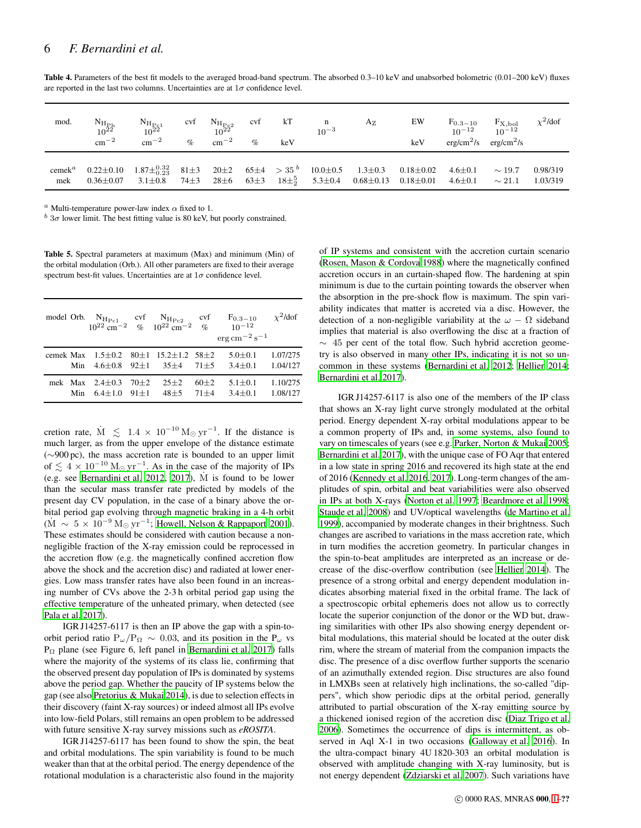| mod. | $\frac{\rm N_{H_{Ph}}}{10^{22}}$<br>$\rm cm^{-2}$                                                                        | $N_{\rm H_{Pc1}}$ <sub>10</sub> <sup>22</sup><br>$\rm cm^{-2}$ | cvf<br>$\mathcal{O}'_0$ | $N_{\rm H_{\rm P_{\rm C}2}}$ cvf<br>$10^{22}$<br>$\rm cm^{-2}$ | $\%$ | kT<br>keV | $\mathbf{n}$<br>$10^{-3}$ | $A_{Z}$                                                                                           | EW<br>keV       | $F_{0.3-10}$<br>10 <sup>-12</sup> | $F_{X, bol}$<br>10 <sup>-12</sup><br>$erg/cm2/s$ erg/cm <sup>2</sup> /s | $\chi^2$ /dof        |
|------|--------------------------------------------------------------------------------------------------------------------------|----------------------------------------------------------------|-------------------------|----------------------------------------------------------------|------|-----------|---------------------------|---------------------------------------------------------------------------------------------------|-----------------|-----------------------------------|-------------------------------------------------------------------------|----------------------|
| mek  | cemek <sup>a</sup> 0.22±0.10 1.87± $_{0.23}^{0.32}$ 81±3 20±2 65±4 > 35 <sup>b</sup> 10.0±0.5 1.3±0.3<br>$0.36 \pm 0.07$ | $3.1 \pm 0.8$                                                  |                         |                                                                |      |           |                           | $74\pm3$ $28\pm6$ $63\pm3$ $18\pm\frac{5}{2}$ $5.3\pm0.4$ $0.68\pm0.13$ $0.18\pm0.01$ $4.6\pm0.1$ | $0.18 \pm 0.02$ | $4.6 \pm 0.1$                     | $\sim$ 19.7<br>$\sim 21.1$                                              | 0.98/319<br>1.03/319 |

<span id="page-5-0"></span>Table 4. Parameters of the best fit models to the averaged broad-band spectrum. The absorbed 0.3–10 keV and unabsorbed bolometric (0.01–200 keV) fluxes are reported in the last two columns. Uncertainties are at  $1\sigma$  confidence level.

<sup>a</sup> Multi-temperature power-law index  $\alpha$  fixed to 1.

 $b$  3 $\sigma$  lower limit. The best fitting value is 80 keV, but poorly constrained.

<span id="page-5-1"></span>Table 5. Spectral parameters at maximum (Max) and minimum (Min) of the orbital modulation (Orb.). All other parameters are fixed to their average spectrum best-fit values. Uncertainties are at  $1\sigma$  confidence level.

| model Orb. |     |                                         |                      | $N_{\text{H}_{\text{Pc1}}}$ cvf $N_{\text{H}_{\text{Pc2}}}$ cvf<br>10 <sup>22</sup> cm <sup>-2</sup> % 10 <sup>22</sup> cm <sup>-2</sup> % | $\cot$             | $F_{0.3-10}$<br>$10^{-12}$<br>$\rm erg\,cm^{-2}\,s^{-1}$ | $\chi^2$ /dof        |
|------------|-----|-----------------------------------------|----------------------|--------------------------------------------------------------------------------------------------------------------------------------------|--------------------|----------------------------------------------------------|----------------------|
| cemek Max  | Min | $1.5 + 0.2$<br>$4.6 \pm 0.8$ 92 $\pm 1$ |                      | $80+1$ 15.2+1.2 58+2<br>$35+4$                                                                                                             | $71 + 5$           | $5.0 + 0.1$<br>$3.4 + 0.1$                               | 1.07/275<br>1.04/127 |
|            | Min | mek Max $2.4+0.3$<br>$6.4 + 1.0$        | $70 + 2$<br>$91 + 1$ | $25+2$<br>$48 + 5$                                                                                                                         | $60+2$<br>$71 + 4$ | $5.1 + 0.1$<br>$3.4 + 0.1$                               | 1.10/275<br>1.08/127 |

cretion rate,  $\dot{M} \leq 1.4 \times 10^{-10} M_{\odot} yr^{-1}$ . If the distance is much larger, as from the upper envelope of the distance estimate (∼900 pc), the mass accretion rate is bounded to an upper limit of  $\lesssim 4 \times 10^{-10}$  M<sub>☉</sub> yr<sup>-1</sup>. As in the case of the majority of IPs (e.g. see [Bernardini et al. 2012](#page-7-4), [2017](#page-7-2)), M˙ is found to be lower than the secular mass transfer rate predicted by models of the present day CV population, in the case of a binary above the orbital period gap evolving through magnetic braking in a 4-h orbit  $(\dot{M} \sim 5 \times 10^{-9} \,\mathrm{M}_{\odot} \,\mathrm{yr}^{-1})$ ; [Howell, Nelson & Rappaport 2001](#page-8-17)). These estimates should be considered with caution because a nonnegligible fraction of the X-ray emission could be reprocessed in the accretion flow (e.g. the magnetically confined accretion flow above the shock and the accretion disc) and radiated at lower energies. Low mass transfer rates have also been found in an increasing number of CVs above the 2-3 h orbital period gap using the effective temperature of the unheated primary, when detected (see [Pala et al. 2017](#page-8-18)).

IGR J14257-6117 is then an IP above the gap with a spin-toorbit period ratio  $P_{\omega}/P_{\Omega} \sim 0.03$ , and its position in the P<sub>ω</sub> vs P<sup>Ω</sup> plane (see Figure 6, left panel in [Bernardini et al. 2017\)](#page-7-2) falls where the majority of the systems of its class lie, confirming that the observed present day population of IPs is dominated by systems above the period gap. Whether the paucity of IP systems below the gap (see also [Pretorius & Mukai 2014](#page-8-19)), is due to selection effects in their discovery (faint X-ray sources) or indeed almost all IPs evolve into low-field Polars, still remains an open problem to be addressed with future sensitive X-ray survey missions such as *eROSITA*.

IGR J14257-6117 has been found to show the spin, the beat and orbital modulations. The spin variability is found to be much weaker than that at the orbital period. The energy dependence of the rotational modulation is a characteristic also found in the majority

of IP systems and consistent with the accretion curtain scenario [\(Rosen, Mason & Cordova 1988\)](#page-8-20) where the magnetically confined accretion occurs in an curtain-shaped flow. The hardening at spin minimum is due to the curtain pointing towards the observer when the absorption in the pre-shock flow is maximum. The spin variability indicates that matter is accreted via a disc. However, the detection of a non-negligible variability at the  $\omega - \Omega$  sideband implies that material is also overflowing the disc at a fraction of  $\sim$  45 per cent of the total flow. Such hybrid accretion geometry is also observed in many other IPs, indicating it is not so uncommon in these systems [\(Bernardini et al. 2012;](#page-7-4) [Hellier 2014;](#page-8-21) [Bernardini et al. 2017](#page-7-2)).

IGR J14257-6117 is also one of the members of the IP class that shows an X-ray light curve strongly modulated at the orbital period. Energy dependent X-ray orbital modulations appear to be a common property of IPs and, in some systems, also found to vary on timescales of years (see e.g. [Parker, Norton & Mukai 2005;](#page-8-22) [Bernardini et al. 2017\)](#page-7-2), with the unique case of FO Aqr that entered in a low state in spring 2016 and recovered its high state at the end of 2016 [\(Kennedy et al. 2016](#page-8-23), [2017](#page-8-24)). Long-term changes of the amplitudes of spin, orbital and beat variabilities were also observed in IPs at both X-rays [\(Norton et al. 1997](#page-8-25); [Beardmore et al. 1998;](#page-7-18) [Staude et al. 2008](#page-8-26)) and UV/optical wavelengths [\(de Martino et al.](#page-7-19) [1999](#page-7-19)), accompanied by moderate changes in their brightness. Such changes are ascribed to variations in the mass accretion rate, which in turn modifies the accretion geometry. In particular changes in the spin-to-beat amplitudes are interpreted as an increase or decrease of the disc-overflow contribution (see [Hellier 2014](#page-8-21)). The presence of a strong orbital and energy dependent modulation indicates absorbing material fixed in the orbital frame. The lack of a spectroscopic orbital ephemeris does not allow us to correctly locate the superior conjunction of the donor or the WD but, drawing similarities with other IPs also showing energy dependent orbital modulations, this material should be located at the outer disk rim, where the stream of material from the companion impacts the disc. The presence of a disc overflow further supports the scenario of an azimuthally extended region. Disc structures are also found in LMXBs seen at relatively high inclinations, the so-called "dippers", which show periodic dips at the orbital period, generally attributed to partial obscuration of the X-ray emitting source by a thickened ionised region of the accretion disc [\(Diaz Trigo](#page-7-20) et al. [2006](#page-7-20)). Sometimes the occurrence of dips is intermittent, as observed in Aql X-1 in two occasions [\(Galloway et al. 2016](#page-8-27)). In the ultra-compact binary 4U 1820-303 an orbital modulation is observed with amplitude changing with X-ray luminosity, but is not energy dependent [\(Zdziarski et al. 2007](#page-8-28)). Such variations have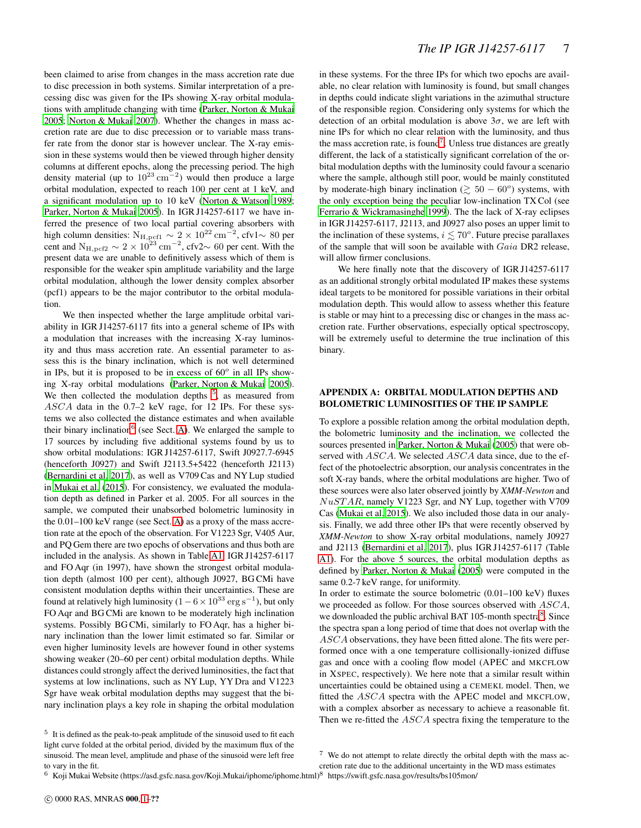been claimed to arise from changes in the mass accretion rate due to disc precession in both systems. Similar interpretation of a precessing disc was given for the IPs showing X-ray orbital modulations with amplitude changing with time [\(Parker, Norton & Mukai](#page-8-22) [2005](#page-8-22); [Norton & Mukai 2007\)](#page-8-29). Whether the changes in mass accretion rate are due to disc precession or to variable mass transfer rate from the donor star is however unclear. The X-ray emission in these systems would then be viewed through higher density columns at different epochs, along the precessing period. The high density material (up to  $10^{23}$  cm<sup>-2</sup>) would then produce a large orbital modulation, expected to reach 100 per cent at 1 keV, and a significant modulation up to 10 keV [\(Norton & Watson 1989;](#page-8-30) [Parker, Norton & Mukai 2005](#page-8-22)). In IGR J14257-6117 we have inferred the presence of two local partial covering absorbers with high column densities:  $N_{\text{H,per1}} \sim 2 \times 10^{22} \text{ cm}^{-2}$ , cfv1∼ 80 per cent and  $N_{\text{H,pcf2}} \sim 2 \times 10^{23} \text{ cm}^{-2}$ , cfv2 $\sim 60$  per cent. With the present data we are unable to definitively assess which of them is responsible for the weaker spin amplitude variability and the large orbital modulation, although the lower density complex absorber (pcf1) appears to be the major contributor to the orbital modulation.

We then inspected whether the large amplitude orbital variability in IGR J14257-6117 fits into a general scheme of IPs with a modulation that increases with the increasing X-ray luminosity and thus mass accretion rate. An essential parameter to assess this is the binary inclination, which is not well determined in IPs, but it is proposed to be in excess of  $60^\circ$  in all IPs showing X-ray orbital modulations [\(Parker, Norton & Mukai 2005](#page-8-22)). We then collected the modulation depths  $5$ , as measured from ASCA data in the 0.7–2 keV rage, for 12 IPs. For these systems we also collected the distance estimates and when available their binary inclination<sup>[6](#page-6-1)</sup> (see Sect. [A\)](#page-6-2). We enlarged the sample to 17 sources by including five additional systems found by us to show orbital modulations: IGR J14257-6117, Swift J0927.7-6945 (henceforth J0927) and Swift J2113.5+5422 (henceforth J2113) [\(Bernardini et al. 2017\)](#page-7-2), as well as V709 Cas and NY Lup studied in [Mukai et al.](#page-8-9) [\(2015](#page-8-9)). For consistency, we evaluated the modulation depth as defined in Parker et al. 2005. For all sources in the sample, we computed their unabsorbed bolometric luminosity in the 0.01–100 keV range (see Sect. [A\)](#page-6-2) as a proxy of the mass accretion rate at the epoch of the observation. For V1223 Sgr, V405 Aur, and PQ Gem there are two epochs of observations and thus both are included in the analysis. As shown in Table [A1,](#page-7-21) IGR J14257-6117 and FO Aqr (in 1997), have shown the strongest orbital modulation depth (almost 100 per cent), although J0927, BG CMi have consistent modulation depths within their uncertainties. These are found at relatively high luminosity (1 –  $6 \times 10^{33}$  erg s<sup>-1</sup>), but only FO Aqr and BG CMi are known to be moderately high inclination systems. Possibly BG CMi, similarly to FO Aqr, has a higher binary inclination than the lower limit estimated so far. Similar or even higher luminosity levels are however found in other systems showing weaker (20–60 per cent) orbital modulation depths. While distances could strongly affect the derived luminosities, the fact that systems at low inclinations, such as NY Lup, YY Dra and V1223 Sgr have weak orbital modulation depths may suggest that the binary inclination plays a key role in shaping the orbital modulation

<span id="page-6-0"></span><sup>5</sup> It is defined as the peak-to-peak amplitude of the sinusoid used to fit each light curve folded at the orbital period, divided by the maximum flux of the sinusoid. The mean level, amplitude and phase of the sinusoid were left free to vary in the fit.

in these systems. For the three IPs for which two epochs are available, no clear relation with luminosity is found, but small changes in depths could indicate slight variations in the azimuthal structure of the responsible region. Considering only systems for which the detection of an orbital modulation is above  $3\sigma$ , we are left with nine IPs for which no clear relation with the luminosity, and thus the mass accretion rate, is found<sup>[7](#page-6-3)</sup>. Unless true distances are greatly different, the lack of a statistically significant correlation of the orbital modulation depths with the luminosity could favour a scenario where the sample, although still poor, would be mainly constituted by moderate-high binary inclination ( $\gtrsim 50 - 60^{\circ}$ ) systems, with the only exception being the peculiar low-inclination TX Col (see [Ferrario & Wickramasinghe 1999](#page-8-31)). The the lack of X-ray eclipses in IGR J14257-6117, J2113, and J0927 also poses an upper limit to the inclination of these systems,  $i \lesssim 70^{\circ}$ . Future precise parallaxes of the sample that will soon be available with Gaia DR2 release, will allow firmer conclusions.

We here finally note that the discovery of IGR J14257-6117 as an additional strongly orbital modulated IP makes these systems ideal targets to be monitored for possible variations in their orbital modulation depth. This would allow to assess whether this feature is stable or may hint to a precessing disc or changes in the mass accretion rate. Further observations, especially optical spectroscopy, will be extremely useful to determine the true inclination of this binary.

# <span id="page-6-2"></span>APPENDIX A: ORBITAL MODULATION DEPTHS AND BOLOMETRIC LUMINOSITIES OF THE IP SAMPLE

To explore a possible relation among the orbital modulation depth, the bolometric luminosity and the inclination, we collected the sources presented in [Parker, Norton & Mukai](#page-8-22) [\(2005](#page-8-22)) that were observed with *ASCA*. We selected *ASCA* data since, due to the effect of the photoelectric absorption, our analysis concentrates in the soft X-ray bands, where the orbital modulations are higher. Two of these sources were also later observed jointly by *XMM-Newton* and  $NuSTAR$ , namely V1223 Sgr, and NY Lup, together with V709 Cas [\(Mukai et al. 2015](#page-8-9)). We also included those data in our analysis. Finally, we add three other IPs that were recently observed by *XMM-Newton* to show X-ray orbital modulations, namely J0927 and J2113 [\(Bernardini et al. 2017](#page-7-2)), plus IGR J14257-6117 (Table [A1\)](#page-7-21). For the above 5 sources, the orbital modulation depths as defined by [Parker, Norton & Mukai](#page-8-22) [\(2005](#page-8-22)) were computed in the same 0.2-7 keV range, for uniformity.

In order to estimate the source bolometric (0.01–100 keV) fluxes we proceeded as follow. For those sources observed with  $ASCA$ , we downloaded the public archival BAT 105-month spectra<sup>[8](#page-6-4)</sup>. Since the spectra span a long period of time that does not overlap with the ASCA observations, they have been fitted alone. The fits were performed once with a one temperature collisionally-ionized diffuse gas and once with a cooling flow model (APEC and MKCFLOW in XSPEC, respectively). We here note that a similar result within uncertainties could be obtained using a CEMEKL model. Then, we fitted the ASCA spectra with the APEC model and MKCFLOW, with a complex absorber as necessary to achieve a reasonable fit. Then we re-fitted the ASCA spectra fixing the temperature to the

<span id="page-6-1"></span> $^6$  Koji Mukai Website (https://asd.gsfc.nasa.gov/Koji.Mukai/iphome/iphome.html) $^8$  https://swift.gsfc.nasa.gov/results/bs105mon/

<span id="page-6-4"></span><span id="page-6-3"></span><sup>7</sup> We do not attempt to relate directly the orbital depth with the mass accretion rate due to the additional uncertainty in the WD mass estimates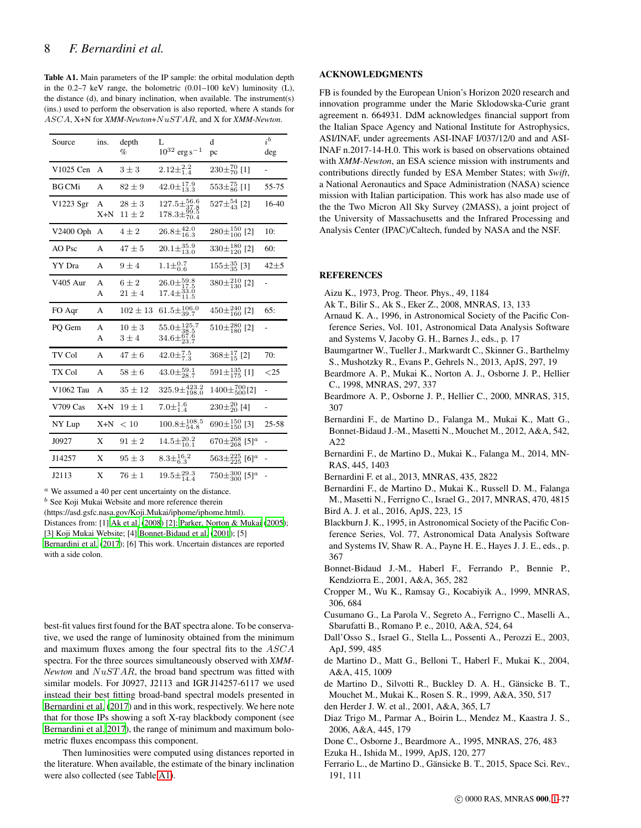<span id="page-7-21"></span>Table A1. Main parameters of the IP sample: the orbital modulation depth in the  $0.2-7$  keV range, the bolometric  $(0.01-100 \text{ keV})$  luminosity  $(L)$ , the distance (d), and binary inclination, when available. The instrument(s) (ins.) used to perform the observation is also reported, where A stands for ASCA, X+N for *XMM-Newton*+NuST AR, and X for *XMM-Newton*.

| Source                    | ins.  | depth        | L                                                                       | d                                        | ib       |
|---------------------------|-------|--------------|-------------------------------------------------------------------------|------------------------------------------|----------|
|                           |       | $\%$         | $10^{32}$ erg s <sup>-1</sup>                                           | pc                                       | deg      |
| V1025 Cen                 | A     | $3 \pm 3$    | $2.12\pm^{2.2}_{1.4}$                                                   | $230\pm\frac{70}{70}$ [1]                |          |
| <b>BG</b> CM <sub>i</sub> | А     | $82 \pm 9$   | $42.0 \pm \substack{17.9 \\ 13.3}$                                      | $553\pm_{86}^{75}$ [1]                   | 55-75    |
| V1223 Sgr                 | A     | $28 \pm 3$   | $127.5\pm_{37.8}^{56.6}$                                                | $527\pm_{43}^{54}$ [2]                   | 16-40    |
|                           | X+N   | $11 \pm 2$   | $^{178.3\pm^{99.5}_{70.4}}$                                             |                                          |          |
| V2400 Oph                 | А     | $4\pm 2$     | $26.8\pm_{16.3}^{42.0}$                                                 | $280\pm_{100}^{150}$ [2]                 | 10:      |
| AO Psc                    | А     | $47 \pm 5$   | $20.1\pm_{13.0}^{35.9}$                                                 | $330\pm_{120}^{180}$ [2]                 | 60:      |
| YY Dra                    | А     | $9 \pm 4$    | $1.1\pm^{0.7}_{0.6}$                                                    | $155\pm^{35}_{35}$ [3]                   | $42\pm5$ |
| <b>V405 Aur</b>           | A     | $6 \pm 2$    | $26.0\pm_{17.5}^{59.8}$                                                 | $380\pm_{130}^{210}$ [2]                 |          |
|                           | А     | $21 \pm 4$   | $17.4\pm^{33.0}_{11.5}$                                                 |                                          |          |
| FO Aqr                    | А     | $102 \pm 13$ | $61.5 \pm \frac{106.0}{39.7}$                                           | $450\pm_{160}^{240}$ [2]                 | 65:      |
| PQ Gem                    | A     | $10 \pm 3$   |                                                                         | $510\pm_{180}^{280}$ [2]                 |          |
|                           | А     | $3 \pm 4$    | $\substack{55.0\pm\substack{125.7\\38.5\\34.6\pm\substack{67.6\\23.7}}$ |                                          |          |
| TV Col                    | A     | $47 \pm 6$   | $42.0\pm_{7.3}^{7.5}$                                                   | $368\pm^{17}_{15}$ [2]                   | 70:      |
| TX Col                    | А     | $58 \pm 6$   | $43.0\pm_{28.7}^{59.1}$                                                 | $591\pm^{135}_{175}$ [1]                 | $<$ 25   |
| V1062 Tau                 | A     | $35 \pm 12$  | $325.9 \pm 423.2$<br>$198.0$                                            | $1400\pm\substack{700\\500}[2]$          |          |
| V709 Cas                  | $X+N$ | $19 \pm 1$   | $7.0 \pm \substack{1.6 \\ 1.4}$                                         | $230\pm^{20}_{20}$ [4]                   |          |
| NY Lup                    | $X+N$ | < 10         | $100.8 \pm_{54.8}^{108.5}$                                              | 690 $\pm_{150}^{150}$ [3]                | 25-58    |
| J0927                     | X     | $91 \pm 2$   | $14.5\pm_{10.1}^{20.2}$                                                 | $670\pm_{268}^{268}$ [5] <sup>a</sup>    |          |
| J14257                    | X     | $95 \pm 3$   | $8.3\pm_{6.3}^{16.2}$                                                   | $563\pm^{225}_{225}$ [6] <sup>a</sup>    |          |
| J2113                     | Χ     | $76 \pm 1$   | $19.5 \pm^{29.3}_{14.4}$                                                | $750\pm\frac{300}{300}$ [5] <sup>a</sup> |          |

<sup>a</sup> We assumed a 40 per cent uncertainty on the distance.

 $<sup>b</sup>$  See Koji Mukai Website and more reference therein</sup>

(https://asd.gsfc.nasa.gov/Koji.Mukai/iphome/iphome.html).

Distances from: [1] [Ak et al. \(2008\)](#page-7-22) [2]; [Parker, Norton & Mukai \(2005\)](#page-8-22); [3] Koji Mukai Website; [4] [Bonnet-Bidaud et al. \(2001\)](#page-7-23); [5] [Bernardini et al. \(2017](#page-7-2)); [6] This work. Uncertain distances are reported

with a side colon.

best-fit values first found for the BAT spectra alone. To be conservative, we used the range of luminosity obtained from the minimum and maximum fluxes among the four spectral fits to the ASCA spectra. For the three sources simultaneously observed with *XMM-Newton* and  $NuSTAR$ , the broad band spectrum was fitted with similar models. For J0927, J2113 and IGR J14257-6117 we used instead their best fitting broad-band spectral models presented in [Bernardini et al. \(2017\)](#page-7-2) and in this work, respectively. We here note that for those IPs showing a soft X-ray blackbody component (see [Bernardini et al. 2017](#page-7-2)), the range of minimum and maximum bolometric fluxes encompass this component.

Then luminosities were computed using distances reported in the literature. When available, the estimate of the binary inclination were also collected (see Table [A1\)](#page-7-21).

# ACKNOWLEDGMENTS

FB is founded by the European Union's Horizon 2020 research and innovation programme under the Marie Sklodowska-Curie grant agreement n. 664931. DdM acknowledges financial support from the Italian Space Agency and National Institute for Astrophysics, ASI/INAF, under agreements ASI-INAF I/037/12/0 and and ASI-INAF n.2017-14-H.0. This work is based on observations obtained with *XMM-Newton*, an ESA science mission with instruments and contributions directly funded by ESA Member States; with *Swift*, a National Aeronautics and Space Administration (NASA) science mission with Italian participation. This work has also made use of the the Two Micron All Sky Survey (2MASS), a joint project of the University of Massachusetts and the Infrared Processing and Analysis Center (IPAC)/Caltech, funded by NASA and the NSF.

### **REFERENCES**

- <span id="page-7-6"></span>Aizu K., 1973, Prog. Theor. Phys., 49, 1184
- <span id="page-7-22"></span>Ak T., Bilir S., Ak S., Eker Z., 2008, MNRAS, 13, 133
- <span id="page-7-9"></span>Arnaud K. A., 1996, in Astronomical Society of the Pacific Conference Series, Vol. 101, Astronomical Data Analysis Software and Systems V, Jacoby G. H., Barnes J., eds., p. 17
- <span id="page-7-10"></span>Baumgartner W., Tueller J., Markwardt C., Skinner G., Barthelmy S., Mushotzky R., Evans P., Gehrels N., 2013, ApJS, 297, 19
- <span id="page-7-18"></span>Beardmore A. P., Mukai K., Norton A. J., Osborne J. P., Hellier C., 1998, MNRAS, 297, 337
- <span id="page-7-15"></span>Beardmore A. P., Osborne J. P., Hellier C., 2000, MNRAS, 315, 307
- <span id="page-7-4"></span>Bernardini F., de Martino D., Falanga M., Mukai K., Matt G., Bonnet-Bidaud J.-M., Masetti N., Mouchet M., 2012, A&A, 542, A22
- <span id="page-7-5"></span>Bernardini F., de Martino D., Mukai K., Falanga M., 2014, MN-RAS, 445, 1403
- <span id="page-7-17"></span>Bernardini F. et al., 2013, MNRAS, 435, 2822
- <span id="page-7-2"></span>Bernardini F., de Martino D., Mukai K., Russell D. M., Falanga M., Masetti N., Ferrigno C., Israel G., 2017, MNRAS, 470, 4815 Bird A. J. et al., 2016, ApJS, 223, 15
- <span id="page-7-12"></span><span id="page-7-1"></span>Blackburn J. K., 1995, in Astronomical Society of the Pacific Conference Series, Vol. 77, Astronomical Data Analysis Software and Systems IV, Shaw R. A., Payne H. E., Hayes J. J. E., eds., p. 367
- <span id="page-7-23"></span>Bonnet-Bidaud J.-M., Haberl F., Ferrando P., Bennie P., Kendziorra E., 2001, A&A, 365, 282
- <span id="page-7-7"></span>Cropper M., Wu K., Ramsay G., Kocabiyik A., 1999, MNRAS, 306, 684
- <span id="page-7-0"></span>Cusumano G., La Parola V., Segreto A., Ferrigno C., Maselli A., Sbarufatti B., Romano P. e., 2010, A&A, 524, 64
- <span id="page-7-11"></span>Dall'Osso S., Israel G., Stella L., Possenti A., Perozzi E., 2003, ApJ, 599, 485
- <span id="page-7-16"></span>de Martino D., Matt G., Belloni T., Haberl F., Mukai K., 2004, A&A, 415, 1009
- <span id="page-7-19"></span>de Martino D., Silvotti R., Buckley D. A. H., Gänsicke B. T., Mouchet M., Mukai K., Rosen S. R., 1999, A&A, 350, 517
- <span id="page-7-8"></span>den Herder J. W. et al., 2001, A&A, 365, L7
- <span id="page-7-20"></span>Diaz Trigo M., Parmar A., Boirin L., Mendez M., Kaastra J. S., 2006, A&A, 445, 179
- <span id="page-7-13"></span>Done C., Osborne J., Beardmore A., 1995, MNRAS, 276, 483
- <span id="page-7-14"></span>Ezuka H., Ishida M., 1999, ApJS, 120, 277
- <span id="page-7-3"></span>Ferrario L., de Martino D., Gänsicke B. T., 2015, Space Sci. Rev., 191, 111